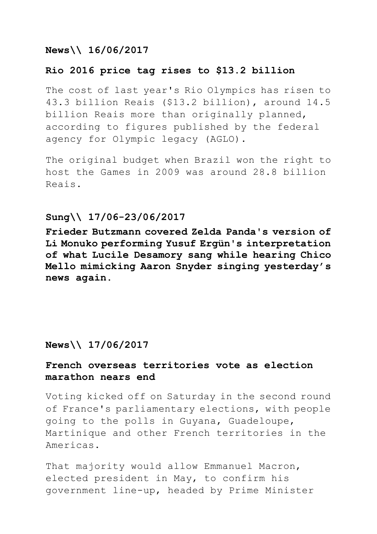# **News\\ 16/06/2017**

# **Rio 2016 price tag rises to \$13.2 billion**

The cost of last year's Rio Olympics has risen to 43.3 billion Reais (\$13.2 billion), around 14.5 billion Reais more than originally planned, according to figures published by the federal agency for Olympic legacy (AGLO).

The original budget when Brazil won the right to host the Games in 2009 was around 28.8 billion Reais.

## **Sung\\ 17/06-23/06/2017**

**Frieder Butzmann covered Zelda Panda's version of Li Monuko performing Yusuf Ergün's interpretation of what Lucile Desamory sang while hearing Chico Mello mimicking Aaron Snyder singing yesterday's news again.** 

## **News\\ 17/06/2017**

# **French overseas territories vote as election marathon nears end**

Voting kicked off on Saturday in the second round of France's parliamentary elections, with people going to the polls in Guyana, Guadeloupe, Martinique and other French territories in the Americas.

That majority would allow Emmanuel Macron, elected president in May, to confirm his government line-up, headed by Prime Minister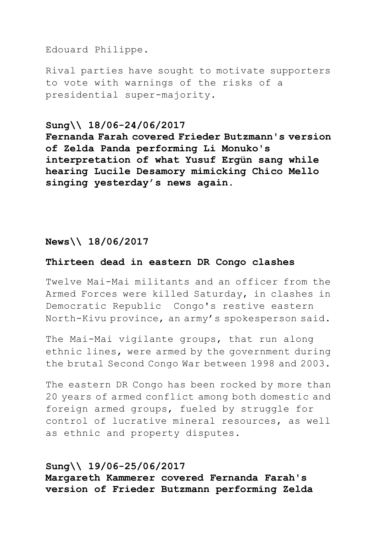## Edouard Philippe.

Rival parties have sought to motivate supporters to vote with warnings of the risks of a presidential super-majority.

## **Sung\\ 18/06-24/06/2017**

**Fernanda Farah covered Frieder Butzmann's version of Zelda Panda performing Li Monuko's interpretation of what Yusuf Ergün sang while hearing Lucile Desamory mimicking Chico Mello singing yesterday's news again.**

# **News\\ 18/06/2017**

### **Thirteen dead in eastern DR Congo clashes**

Twelve Mai-Mai militants and an officer from the Armed Forces were killed Saturday, in clashes in Democratic Republic Congo's restive eastern North-Kivu province, an army's spokesperson said.

The Mai-Mai vigilante groups, that run along ethnic lines, were armed by the government during the brutal Second Congo War between 1998 and 2003.

The eastern DR Congo has been rocked by more than 20 years of armed conflict among both domestic and foreign armed groups, fueled by struggle for control of lucrative mineral resources, as well as ethnic and property disputes.

### **Sung\\ 19/06-25/06/2017**

**Margareth Kammerer covered Fernanda Farah's version of Frieder Butzmann performing Zelda**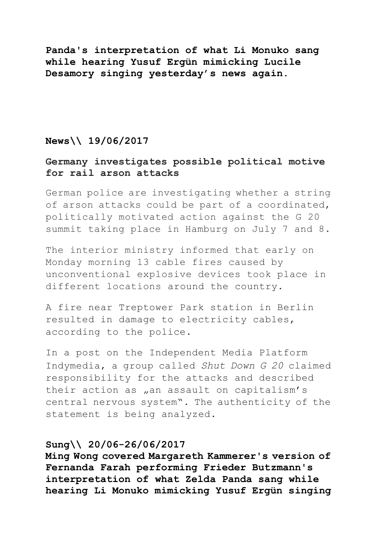**Panda's interpretation of what Li Monuko sang while hearing Yusuf Ergün mimicking Lucile Desamory singing yesterday's news again.**

## **News\\ 19/06/2017**

## **Germany investigates possible political motive for rail arson attacks**

German police are investigating whether a string of arson attacks could be part of a coordinated, politically motivated action against the G 20 summit taking place in Hamburg on July 7 and 8.

The interior ministry informed that early on Monday morning 13 cable fires caused by unconventional explosive devices took place in different locations around the country.

A fire near Treptower Park station in Berlin resulted in damage to electricity cables, according to the police.

In a post on the Independent Media Platform Indymedia, a group called *Shut Down G 20* claimed responsibility for the attacks and described their action as "an assault on capitalism's central nervous system". The authenticity of the statement is being analyzed.

#### **Sung\\ 20/06-26/06/2017**

**Ming Wong covered Margareth Kammerer's version of Fernanda Farah performing Frieder Butzmann's interpretation of what Zelda Panda sang while hearing Li Monuko mimicking Yusuf Ergün singing**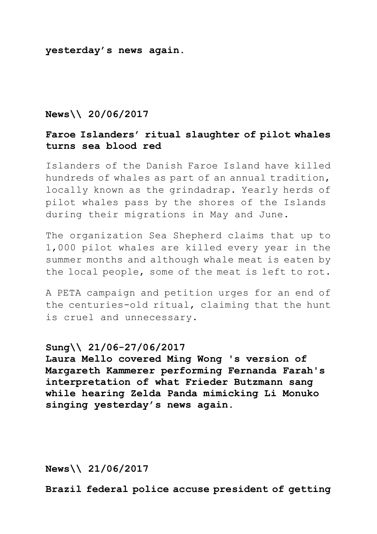**yesterday's news again.**

### **News\\ 20/06/2017**

# **Faroe Islanders' ritual slaughter of pilot whales turns sea blood red**

Islanders of the Danish Faroe Island have killed hundreds of whales as part of an annual tradition, locally known as the grindadrap. Yearly herds of pilot whales pass by the shores of the Islands during their migrations in May and June.

The organization Sea Shepherd claims that up to 1,000 pilot whales are killed every year in the summer months and although whale meat is eaten by the local people, some of the meat is left to rot.

A PETA campaign and petition urges for an end of the centuries-old ritual, claiming that the hunt is cruel and unnecessary.

## **Sung\\ 21/06-27/06/2017**

**Laura Mello covered Ming Wong 's version of Margareth Kammerer performing Fernanda Farah's interpretation of what Frieder Butzmann sang while hearing Zelda Panda mimicking Li Monuko singing yesterday's news again.**

**News\\ 21/06/2017**

**Brazil federal police accuse president of getting**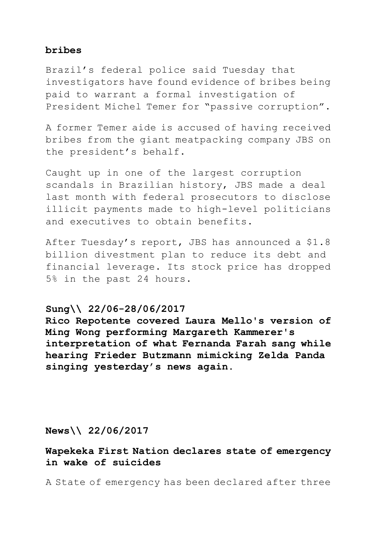## **bribes**

Brazil's federal police said Tuesday that investigators have found evidence of bribes being paid to warrant a formal investigation of President Michel Temer for "passive corruption".

A former Temer aide is accused of having received bribes from the giant meatpacking company JBS on the president's behalf.

Caught up in one of the largest corruption scandals in Brazilian history, JBS made a deal last month with federal prosecutors to disclose illicit payments made to high-level politicians and executives to obtain benefits.

After Tuesday's report, JBS has announced a \$1.8 billion divestment plan to reduce its debt and financial leverage. Its stock price has dropped 5% in the past 24 hours.

# **Sung\\ 22/06-28/06/2017**

**Rico Repotente covered Laura Mello's version of Ming Wong performing Margareth Kammerer's interpretation of what Fernanda Farah sang while hearing Frieder Butzmann mimicking Zelda Panda singing yesterday's news again.**

**News\\ 22/06/2017**

**Wapekeka First Nation declares state of emergency in wake of suicides**

A State of emergency has been declared after three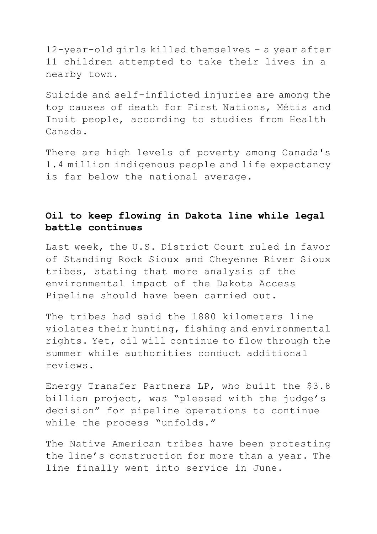12-year-old girls killed themselves – a year after 11 children attempted to take their lives in a nearby town.

Suicide and self-inflicted injuries are among the top causes of death for First Nations, Métis and Inuit people, according to studies from Health Canada.

There are high levels of poverty among Canada's 1.4 million indigenous people and life expectancy is far below the national average.

# **Oil to keep flowing in Dakota line while legal battle continues**

Last week, the U.S. District Court ruled in favor of Standing Rock Sioux and Cheyenne River Sioux tribes, stating that more analysis of the environmental impact of the Dakota Access Pipeline should have been carried out.

The tribes had said the 1880 kilometers line violates their hunting, fishing and environmental rights. Yet, oil will continue to flow through the summer while authorities conduct additional reviews.

Energy Transfer Partners LP, who built the \$3.8 billion project, was "pleased with the judge's decision" for pipeline operations to continue while the process "unfolds."

The Native American tribes have been protesting the line's construction for more than a year. The line finally went into service in June.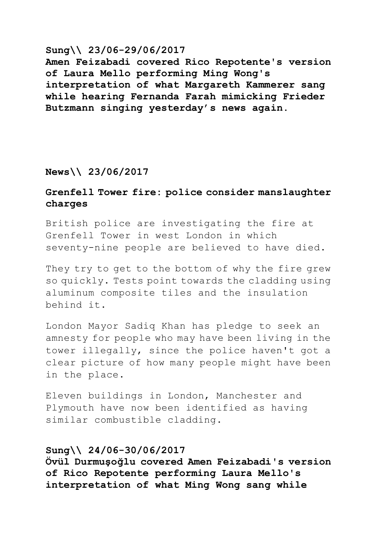## **Sung\\ 23/06-29/06/2017**

**Amen Feizabadi covered Rico Repotente's version of Laura Mello performing Ming Wong's interpretation of what Margareth Kammerer sang while hearing Fernanda Farah mimicking Frieder Butzmann singing yesterday's news again.**

# **News\\ 23/06/2017**

# **Grenfell Tower fire: police consider manslaughter charges**

British police are investigating the fire at Grenfell Tower in west London in which seventy-nine people are believed to have died.

They try to get to the bottom of why the fire grew so quickly. Tests point towards the cladding using aluminum composite tiles and the insulation behind it.

London Mayor Sadiq Khan has pledge to seek an amnesty for people who may have been living in the tower illegally, since the police haven't got a clear picture of how many people might have been in the place.

Eleven buildings in London, Manchester and Plymouth have now been identified as having similar combustible cladding.

## **Sung\\ 24/06-30/06/2017**

**Övül Durmuşoğlu covered Amen Feizabadi's version of Rico Repotente performing Laura Mello's interpretation of what Ming Wong sang while**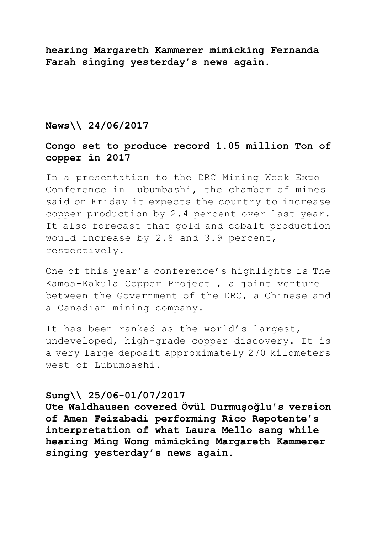**hearing Margareth Kammerer mimicking Fernanda Farah singing yesterday's news again.**

## **News\\ 24/06/2017**

## **Congo set to produce record 1.05 million Ton of copper in 2017**

In a presentation to the DRC Mining Week Expo Conference in Lubumbashi, the chamber of mines said on Friday it expects the country to increase copper production by 2.4 percent over last year. It also forecast that gold and cobalt production would increase by 2.8 and 3.9 percent, respectively.

One of this year's conference's highlights is The Kamoa-Kakula Copper Project , a joint venture between the Government of the DRC, a Chinese and a Canadian mining company.

It has been ranked as the world's largest, undeveloped, high-grade copper discovery. It is a very large deposit approximately 270 kilometers west of Lubumbashi.

## **Sung\\ 25/06-01/07/2017**

**Ute Waldhausen covered Övül Durmuşoğlu's version of Amen Feizabadi performing Rico Repotente's interpretation of what Laura Mello sang while hearing Ming Wong mimicking Margareth Kammerer singing yesterday's news again.**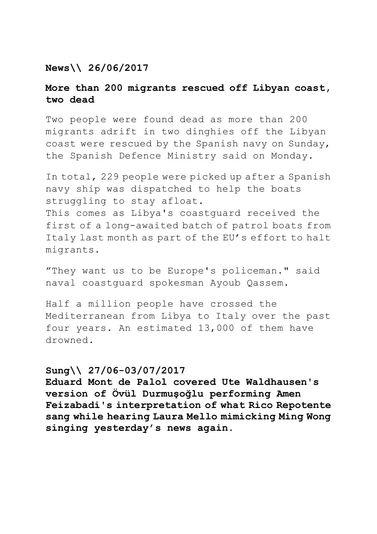## **News\\ 26/06/2017**

## **More than 200 migrants rescued off Libyan coast, two dead**

Two people were found dead as more than 200 migrants adrift in two dinghies off the Libyan coast were rescued by the Spanish navy on Sunday, the Spanish Defence Ministry said on Monday.

In total, 229 people were picked up after a Spanish navy ship was dispatched to help the boats struggling to stay afloat. This comes as Libya's coastguard received the first of a long-awaited batch of patrol boats from Italy last month as part of the EU's effort to halt migrants.

"They want us to be Europe's policeman." said naval coastguard spokesman Ayoub Qassem.

Half a million people have crossed the Mediterranean from Libya to Italy over the past four years. An estimated 13,000 of them have drowned.

### **Sung\\ 27/06-03/07/2017**

**Eduard Mont de Palol covered Ute Waldhausen's version of Övül Durmuşoğlu performing Amen Feizabadi's interpretation of what Rico Repotente sang while hearing Laura Mello mimicking Ming Wong singing yesterday's news again.**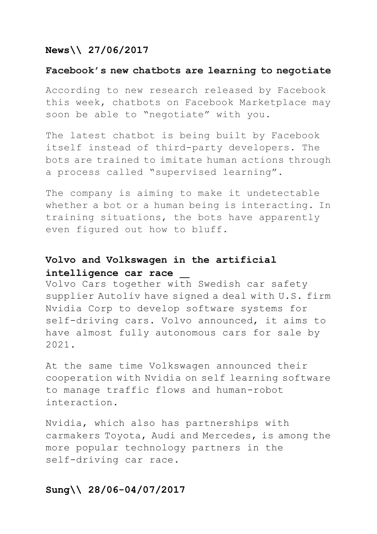# **News\\ 27/06/2017**

### **Facebook's new chatbots are learning to negotiate**

According to new research released by Facebook this week, chatbots on Facebook Marketplace may soon be able to "negotiate" with you.

The latest chatbot is being built by Facebook itself instead of third-party developers. The bots are trained to imitate human actions through a process called "supervised learning".

The company is aiming to make it undetectable whether a bot or a human being is interacting. In training situations, the bots have apparently even figured out how to bluff.

# **Volvo and Volkswagen in the artificial intelligence car race**

Volvo Cars together w[ith](http://www.linkedin.com/shareArticle?mini=true&url=http%3A%2F%2Freut.rs%2F2ubIaOd&title=Volvo%20and%20Autoliv%20team%20up%20with%20Nvidia%20for%20self-driving%20cars&summary=STOCKHOLM%20(Reuters)%20-%20Volvo%20Cars%20and%20Swedish%20car%20safety%20supplier%20Autoliv%20%3CALV.N%3E%20have%20signed%20a%20deal%20with%20U.S.%20firm%20Nvidia%20Corp%20%3CNVDA.O%3E%2C%20best%20known%20for%20its%20graphics%20technology%20in%20computer%20games%2C%20to%20develop%20software%20systems%20for%20self-dri&source=Reuters) Swedish car safety supplier Autoliv have signed a deal with U.S. firm Nvidia Corp to develop software systems for self-driving cars. Volvo announced, it aims to have almost fully autonomous cars for sale by 2021.

At the same time Volkswagen announced their cooperation with Nvidia on self learning software to manage traffic flows and human-robot interaction.

Nvidia, which also has partnerships with carmakers Toyota, Audi and Mercedes, is among the more popular technology partners in the self-driving car race.

## **Sung\\ 28/06-04/07/2017**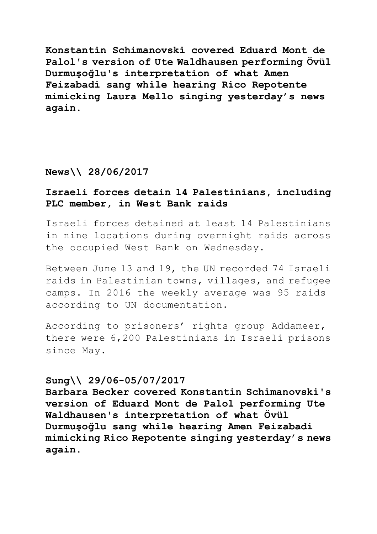**Konstantin Schimanovski covered Eduard Mont de Palol's version of Ute Waldhausen performing Övül Durmuşoğlu's interpretation of what Amen Feizabadi sang while hearing Rico Repotente mimicking Laura Mello singing yesterday's news again.**

### **News\\ 28/06/2017**

# **Israeli forces detain 14 Palestinians, including PLC member, in West Bank raids**

Israeli forces detained at least 14 Palestinians in nine locations during overnight raids across the occupied West Bank on Wednesday.

Between June 13 and 19, the UN recorded 74 Israeli raids in Palestinian towns, villages, and refugee camps. In 2016 the weekly average was 95 raids according to UN documentation.

According to prisoners' rights group Addameer, there were 6,200 Palestinians in Israeli prisons since May.

#### **Sung\\ 29/06-05/07/2017**

**Barbara Becker covered Konstantin Schimanovski's version of Eduard Mont de Palol performing Ute Waldhausen's interpretation of what Övül Durmuşoğlu sang while hearing Amen Feizabadi mimicking Rico Repotente singing yesterday's news again.**